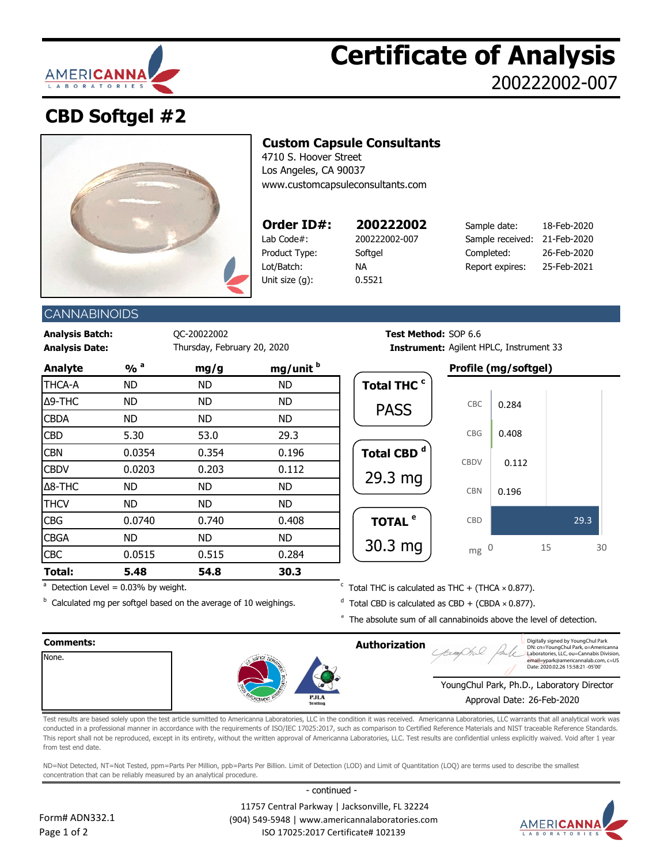

# **Certificate of Analysis** 200222002-007

## **CBD Softgel #2**



## **Custom Capsule Consultants**

4710 S. Hoover Street Los Angeles, CA 90037 [www.customcapsuleconsultants.com](http://www.customcapsuleconsultants.com/)

| Order ID#:     |
|----------------|
| Lab Code#:     |
| Product Type:  |
| Lot/Batch:     |
| Unit size (q): |
|                |

**Order ID#: 200222002** 18-Feb-2020 200222002-007 0.5521

TOTAL  $e$ 

30.3 mg

| Order ID#:    | 200222002     | Sample date:                 | 18-Feb-2020 |
|---------------|---------------|------------------------------|-------------|
| Lab Code#:    | 200222002-007 | Sample received: 21-Feb-2020 |             |
| Product Type: | Softael       | Completed:                   | 26-Feb-2020 |
| Lot/Batch:    | ΝA            | Report expires:              | 25-Feb-2021 |
|               |               |                              |             |

## **CANNABINOIDS**

**Analysis Batch:** QC-20022002 **Test Method:** SOP 6.6

| <b>Test Method:</b> SOP 6.6 |                                                |
|-----------------------------|------------------------------------------------|
|                             | <b>Instrument:</b> Agilent HPLC, Instrument 33 |

| <b>Analyte</b> | $\frac{9}{0}$ <sup>a</sup> | mg/g      | mg/unit <sup>b</sup> |
|----------------|----------------------------|-----------|----------------------|
| THCA-A         | <b>ND</b>                  | <b>ND</b> | <b>ND</b>            |
| Δ9-THC         | ND                         | <b>ND</b> | <b>ND</b>            |
| <b>CBDA</b>    | ND                         | <b>ND</b> | <b>ND</b>            |
| <b>CBD</b>     | 5.30                       | 53.0      | 29.3                 |
| <b>CBN</b>     | 0.0354                     | 0.354     | 0.196                |
| <b>CBDV</b>    | 0.0203                     | 0.203     | 0.112                |
| $\Delta$ 8-THC | ND                         | ND        | <b>ND</b>            |
| <b>THCV</b>    | <b>ND</b>                  | <b>ND</b> | <b>ND</b>            |
| <b>CBG</b>     | 0.0740                     | 0.740     | 0.408                |
| <b>CBGA</b>    | ND                         | ND        | ND.                  |
| <b>CBC</b>     | 0.0515                     | 0.515     | 0.284                |
| Total:         | 5.48                       | 54.8      | 30.3                 |

 $a$  Detection Level = 0.03% by weight.

**Analysis Date: Internal Agilent HPLC, Instrument:** Agilent HPLC, Instrument 33 **Analyte % <sup>a</sup> mg/g mg/unit <sup>b</sup> Profile (mg/softgel)** Total THC <sup>c</sup> Total CBD<sup>d</sup> PASS 29.3 mg 0.196 0.112 0.408 0.284 CBN CBDV CBG CBC

CBD

 $mg<sub>0</sub>$ 

 $\cdot$  Total THC is calculated as THC + (THCA  $\times$  0.877).

<sup>b</sup> Calculated mg per softgel based on the average of 10 weighings.  $\overline{d}$  $d$  Total CBD is calculated as CBD + (CBDA  $\times$  0.877).

 $e$  The absolute sum of all cannabinoids above the level of detection.

#### **Comments: Authorization** None. YoungChul Park, Ph.D., Laboratory Director Approval Date: 26-Feb-2020 Digitally signed by YoungChul Park DN: cn=YoungChul Park, o=Americanna Laboratories, LLC, ou=Cannabis Division<br>email=vpark@americannalab.com. c=US e<br>Tempelak.com, c=US Date: 2020.02.26 15:58:21 -05'00'

Test results are based solely upon the test article sumitted to Americanna Laboratories, LLC in the condition it was received. Americanna Laboratories, LLC warrants that all analytical work was conducted in a professional manner in accordance with the requirements of ISO/IEC 17025:2017, such as comparison to Certified Reference Materials and NIST traceable Reference Standards. This report shall not be reproduced, except in its entirety, without the written approval of Americanna Laboratories, LLC. Test results are confidential unless explicitly waived. Void after 1 year from test end date.

ND=Not Detected, NT=Not Tested, ppm=Parts Per Million, ppb=Parts Per Billion. Limit of Detection (LOD) and Limit of Quantitation (LOQ) are terms used to describe the smallest concentration that can be reliably measured by an analytical procedure.

- continued -



 11757 Central Parkway | Jacksonville, FL 32224 (904) 549-5948 | www.americannalaboratories.com ISO 17025:2017 Certificate# 102139



29.3

0 15 30